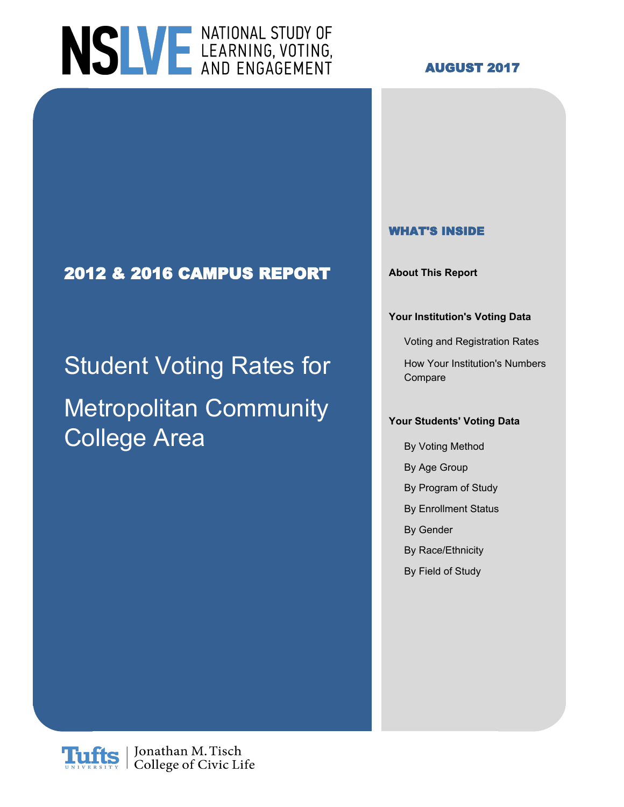# NSLVE LEARNING, VOTING,

#### **AUGUST 2017**

### **2012 & 2016 CAMPUS REPORT About This Report**

## Student Voting Rates for How Your Institution's Numbers Metropolitan Community College Area

#### **WHAT'S INSIDE**

#### **Your Institution's Voting Data**

Voting and Registration Rates

Compare

#### **Your Students' Voting Data**

- By Voting Method
- By Age Group
- By Program of Study
- By Enrollment Status
- By Gender
- By Race/Ethnicity
- By Field of Study

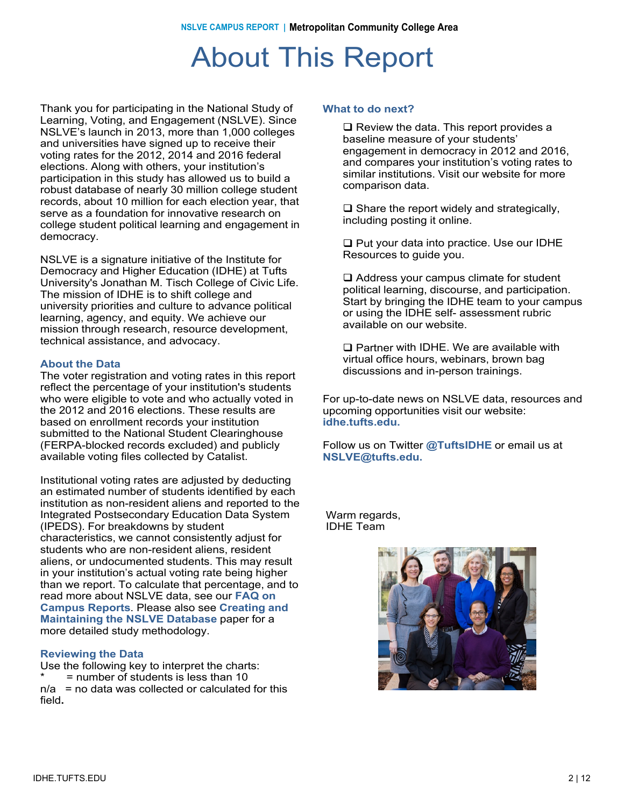### About This Report

Thank you for participating in the National Study of Learning, Voting, and Engagement (NSLVE). Since NSLVE's launch in 2013, more than 1,000 colleges and universities have signed up to receive their voting rates for the 2012, 2014 and 2016 federal elections. Along with others, your institution's participation in this study has allowed us to build a robust database of nearly 30 million college student records, about 10 million for each election year, that serve as a foundation for innovative research on college student political learning and engagement in democracy.

NSLVE is a signature initiative of the Institute for Democracy and Higher Education (IDHE) at Tufts University's Jonathan M. Tisch College of Civic Life. The mission of IDHE is to shift college and university priorities and culture to advance political learning, agency, and equity. We achieve our mission through research, resource development, technical assistance, and advocacy.

#### **About the Data**

The voter registration and voting rates in this report reflect the percentage of your institution's students who were eligible to vote and who actually voted in the 2012 and 2016 elections. These results are based on enrollment records your institution submitted to the National Student Clearinghouse (FERPA-blocked records excluded) and publicly available voting files collected by Catalist.

Institutional voting rates are adjusted by deducting an estimated number of students identified by each institution as non-resident aliens and reported to the Integrated Postsecondary Education Data System (IPEDS). For breakdowns by student characteristics, we cannot consistently adjust for students who are non-resident aliens, resident aliens, or undocumented students. This may result in your institution's actual voting rate being higher than we report. To calculate that percentage, and to read more about NSLVE data, see our **FAQ on Campus Reports**. Please also see **Creating and Maintaining the NSLVE Database** paper for a more detailed study methodology.

#### **Reviewing the Data**

Use the following key to interpret the charts:  $=$  number of students is less than 10  $n/a$  = no data was collected or calculated for this field**.**

#### **What to do next?**

 $\Box$  Review the data. This report provides a baseline measure of your students' engagement in democracy in 2012 and 2016, and compares your institution's voting rates to similar institutions. Visit our website for more comparison data.

 $\Box$  Share the report widely and strategically, including posting it online.

 $\Box$  Put your data into practice. Use our IDHE Resources to guide you.

 $\Box$  Address your campus climate for student political learning, discourse, and participation. Start by bringing the IDHE team to your campus or using the IDHE self- assessment rubric available on our website.

 $\square$  Partner with IDHE. We are available with virtual office hours, webinars, brown bag discussions and in-person trainings.

For up-to-date news on NSLVE data, resources and upcoming opportunities visit our website: **idhe.tufts.edu.**

Follow us on Twitter **@TuftsIDHE** or email us at **NSLVE@tufts.edu.**

Warm regards, IDHE Team

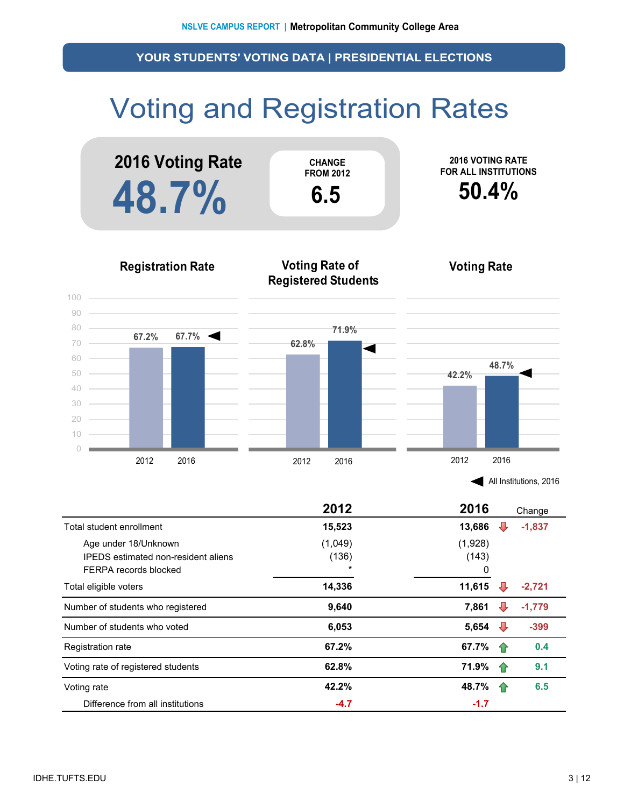### Voting and Registration Rates



|                                                                                             | 2012                        | 2016<br>Change   |          |
|---------------------------------------------------------------------------------------------|-----------------------------|------------------|----------|
| Total student enrollment                                                                    | 15,523                      | 13,686<br>₩      | $-1,837$ |
| Age under 18/Unknown<br><b>IPFDS</b> estimated non-resident aliens<br>FERPA records blocked | (1,049)<br>(136)<br>$\star$ | (1,928)<br>(143) |          |
| Total eligible voters                                                                       | 14,336                      | 11,615           | -2.721   |
| Number of students who registered                                                           | 9,640                       | 7,861<br>₩       | $-1,779$ |
| Number of students who voted                                                                | 6,053                       | 5,654<br>₩       | $-399$   |
| Registration rate                                                                           | 67.2%                       | 67.7%<br>11      | 0.4      |
| Voting rate of registered students                                                          | 62.8%                       | 71.9%<br>11      | 9.1      |
| Voting rate                                                                                 | 42.2%                       | 48.7%<br>企       | 6.5      |
| Difference from all institutions                                                            | $-4.7$                      | $-1.7$           |          |

2012 2016 2012 2016 2012 2016

 $\bigcirc$ 

All Institutions, 2016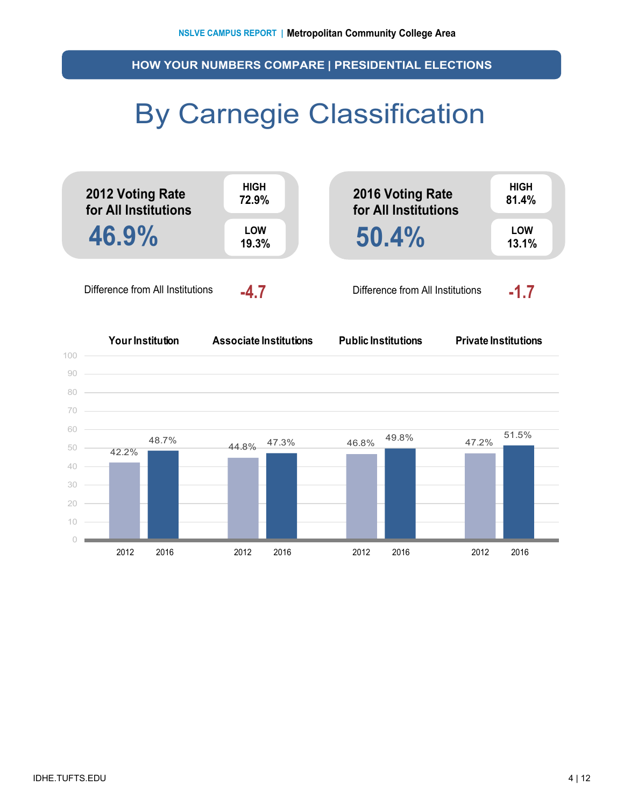**HOW YOUR NUMBERS COMPARE | PRESIDENTIAL ELECTIONS**

### By Carnegie Classification



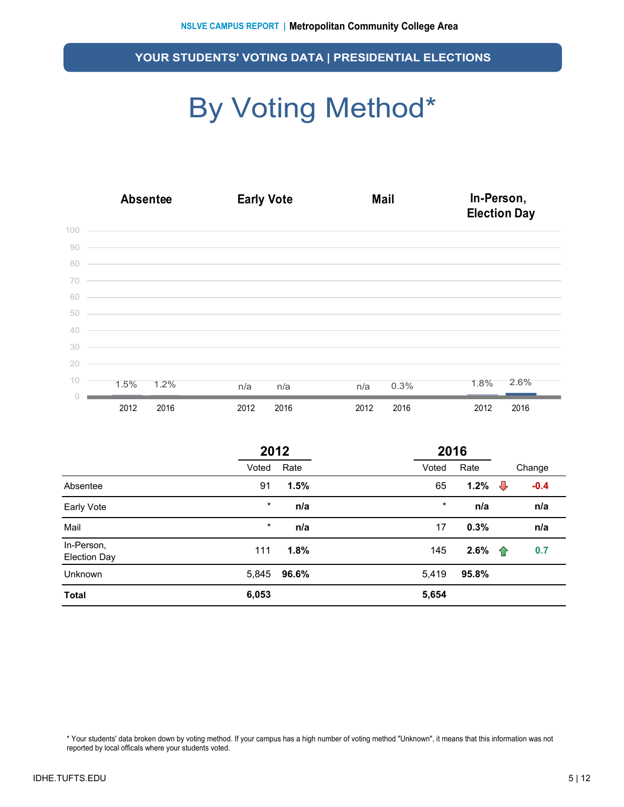### By Voting Method\*

|    | <b>Absentee</b> |      | <b>Early Vote</b>                                                                                                                                                                                                                                                                                                                                                                                                     |      |  |      |      | In-Person,<br><b>Election Day</b> |      |  |  |  |
|----|-----------------|------|-----------------------------------------------------------------------------------------------------------------------------------------------------------------------------------------------------------------------------------------------------------------------------------------------------------------------------------------------------------------------------------------------------------------------|------|--|------|------|-----------------------------------|------|--|--|--|
|    |                 |      | $\begin{array}{c c c c c} \hline \multicolumn{3}{c c }{\multicolumn{3}{c c }{\multicolumn{3}{c c }{\multicolumn{3}{c c }{\multicolumn{3}{c c }{\multicolumn{3}{c c }{\multicolumn{3}{c c }{\multicolumn{3}{c c }{\multicolumn{3}{c c }{\multicolumn{3}{c c }{\multicolumn{3}{c c }{\multicolumn{3}{c c }{\multicolumn{3}{c c }{\multicolumn{3}{c c }{\multicolumn{3}{c c }{\multicolumn{3}{c c }{\multicolumn{3}{c c$ |      |  |      |      |                                   |      |  |  |  |
| 90 |                 |      | <u> 1989 - Johann Harry Harry Harry Harry Harry Harry Harry Harry Harry Harry Harry Harry Harry Harry Harry Harry</u>                                                                                                                                                                                                                                                                                                 |      |  |      |      |                                   |      |  |  |  |
| 80 |                 |      | <u> Alexandro de la contrada de la contrada de la contrada de la contrada de la contrada de la contrada de la co</u>                                                                                                                                                                                                                                                                                                  |      |  |      |      |                                   |      |  |  |  |
| 70 |                 |      | <u> La Carlo de la Carlo de la Carlo de la Carlo de la Carlo de la Carlo de la Carlo de la Carlo de la Carlo de</u>                                                                                                                                                                                                                                                                                                   |      |  |      |      |                                   |      |  |  |  |
| 60 |                 |      | <u> 1989 - Jan Barat de Barat de la característica de la característica de la característica de la característica</u>                                                                                                                                                                                                                                                                                                 |      |  |      |      |                                   |      |  |  |  |
| 50 |                 |      | <u> Alexandro de la contrada de la contrada de la contrada de la contrada de la contrada de la contrada de la co</u>                                                                                                                                                                                                                                                                                                  |      |  |      |      |                                   |      |  |  |  |
| 40 |                 |      | <u> 1999 - Jan James James James James James James James James James James James James James James James James J</u>                                                                                                                                                                                                                                                                                                  |      |  |      |      |                                   |      |  |  |  |
| 30 |                 |      | <u> 1989 - Jan Barat de Barat de la Barat de la Barat de la Barat de la Barat de la Barat de la Barat de la Bara</u>                                                                                                                                                                                                                                                                                                  |      |  |      |      |                                   |      |  |  |  |
| 20 |                 |      | and the control of the control of the control of the control of the control of the control of                                                                                                                                                                                                                                                                                                                         |      |  |      |      |                                   |      |  |  |  |
| 10 | 1.5%            | 1.2% | n/a                                                                                                                                                                                                                                                                                                                                                                                                                   | n/a  |  | n/a  | 0.3% | 1.8%                              | 2.6% |  |  |  |
|    | 2012            | 2016 | 2012                                                                                                                                                                                                                                                                                                                                                                                                                  | 2016 |  | 2012 | 2016 | 2012                              | 2016 |  |  |  |

|                                   | 2012    |       |  | 2016    |       |   |        |
|-----------------------------------|---------|-------|--|---------|-------|---|--------|
|                                   | Voted   | Rate  |  | Voted   | Rate  |   | Change |
| Absentee                          | 91      | 1.5%  |  | 65      | 1.2%  | ⇩ | $-0.4$ |
| Early Vote                        | $\star$ | n/a   |  | $\star$ | n/a   |   | n/a    |
| Mail                              | $\star$ | n/a   |  | 17      | 0.3%  |   | n/a    |
| In-Person,<br><b>Election Day</b> | 111     | 1.8%  |  | 145     | 2.6%  | ⇑ | 0.7    |
| <b>Unknown</b>                    | 5,845   | 96.6% |  | 5,419   | 95.8% |   |        |
| <b>Total</b>                      | 6,053   |       |  | 5,654   |       |   |        |

\* Your students' data broken down by voting method. If your campus has a high number of voting method "Unknown", it means that this information was not reported by local officals where your students voted.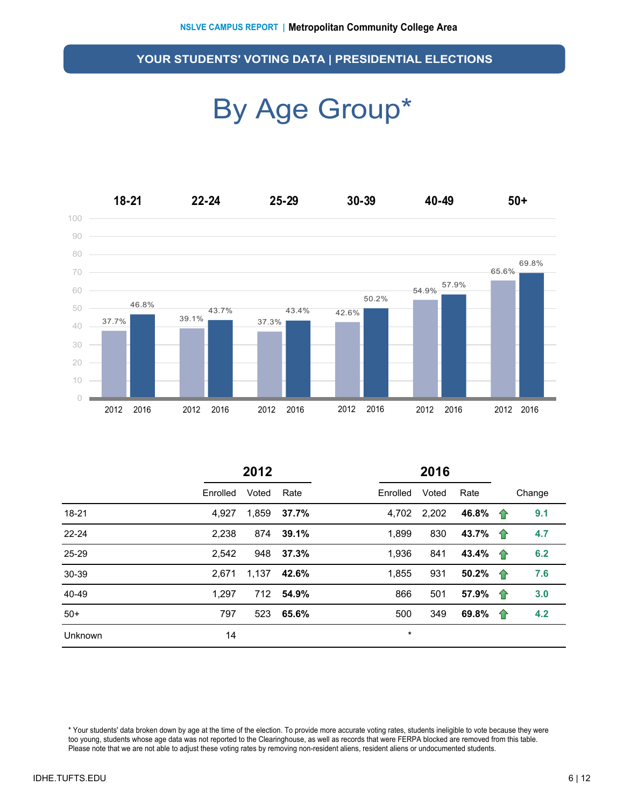### By Age Group\*



|         | 2012     |       |           |          |       |                          |   |        |
|---------|----------|-------|-----------|----------|-------|--------------------------|---|--------|
|         | Enrolled | Voted | Rate      | Enrolled | Voted | Rate                     |   | Change |
| 18-21   | 4,927    | 1,859 | 37.7%     | 4,702    | 2,202 | 46.8% $\uparrow$         |   | 9.1    |
| 22-24   | 2,238    | 874   | 39.1%     | 1,899    | 830   | 43.7% $\hat{\mathbf{T}}$ |   | 4.7    |
| 25-29   | 2,542    | 948   | 37.3%     | 1,936    | 841   | 43.4% $\uparrow$         |   | 6.2    |
| 30-39   | 2.671    | 1,137 | 42.6%     | 1,855    | 931   | 50.2% 个                  |   | 7.6    |
| 40-49   | 1,297    |       | 712 54.9% | 866      | 501   | 57.9%                    | 企 | 3.0    |
| $50+$   | 797      | 523   | 65.6%     | 500      | 349   | 69.8% $\uparrow$         |   | 4.2    |
| Unknown | 14       |       |           | $\star$  |       |                          |   |        |

\* Your students' data broken down by age at the time of the election. To provide more accurate voting rates, students ineligible to vote because they were too young, students whose age data was not reported to the Clearinghouse, as well as records that were FERPA blocked are removed from this table. Please note that we are not able to adjust these voting rates by removing non-resident aliens, resident aliens or undocumented students.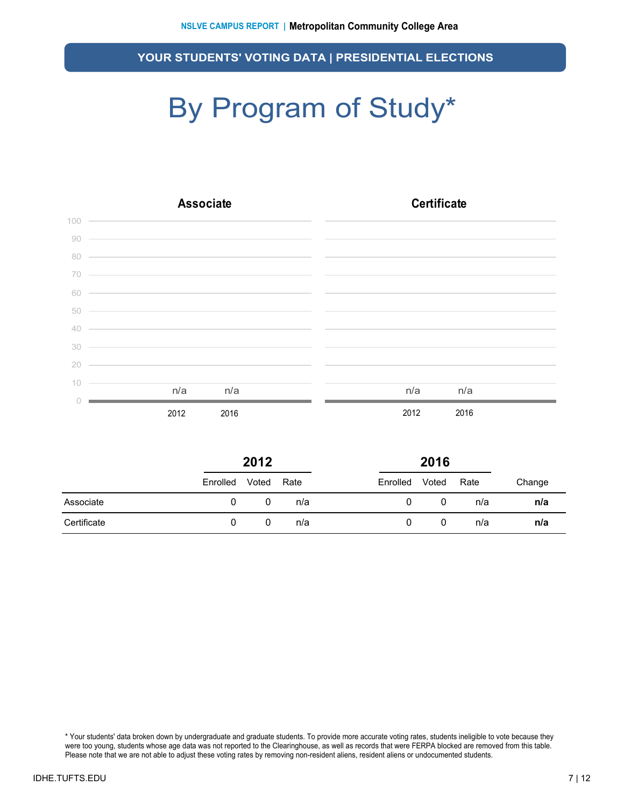## By Program of Study\*

|        | <b>Associate</b>                                                                                                       | <b>Certificate</b> |
|--------|------------------------------------------------------------------------------------------------------------------------|--------------------|
|        | $\begin{tabular}{c} 100 \\ -100 \\ -100 \\ \end{tabular}$                                                              |                    |
| 90     | <u> 1989 - Johann Stoff, deutscher Stoff, der Stoff, der Stoff, der Stoff, der Stoff, der Stoff, der Stoff, der S</u>  |                    |
| 80     | <u> 1989 - Johann Stoff, amerikansk politiker (d. 1989)</u>                                                            |                    |
| 70     | <u> Alexandro de la contrada de la contrada de la contrada de la contrada de la contrada de la contrada de la co</u>   |                    |
| 60     | <u> Alexandro de la contrada de la contrada de la contrada de la contrada de la contrada de la contrada de la co</u>   |                    |
| 50     | <u> 1999 - Johann Stoff, amerikansk politiker (d. 1989)</u>                                                            |                    |
| $40 -$ | <u> Alban a shekara ta 1999 na shekara ta 1999 na shekara ta 1999 na shekara ta 1999 na shekara ta 1991 na shekara</u> |                    |
| 30     | <u> 1999 - Jan James James James James James James James James James James James James James James James James J</u>   |                    |
| 20     | <u> 1989 - Johann Stoff, amerikansk politiker (* 1908)</u>                                                             |                    |
| 10     |                                                                                                                        |                    |
|        | n/a<br>n/a                                                                                                             | n/a<br>n/a         |
|        | 2012<br>2016                                                                                                           | 2012<br>2016       |

|             | 2012     |       |      |          | 2016  |      |        |
|-------------|----------|-------|------|----------|-------|------|--------|
|             | Enrolled | Voted | Rate | Enrolled | Voted | Rate | Change |
| Associate   | 0        |       | n/a  | Ü        | 0     | n/a  | n/a    |
| Certificate | 0        | 0     | n/a  |          | 0     | n/a  | n/a    |

\* Your students' data broken down by undergraduate and graduate students. To provide more accurate voting rates, students ineligible to vote because they were too young, students whose age data was not reported to the Clearinghouse, as well as records that were FERPA blocked are removed from this table. Please note that we are not able to adjust these voting rates by removing non-resident aliens, resident aliens or undocumented students.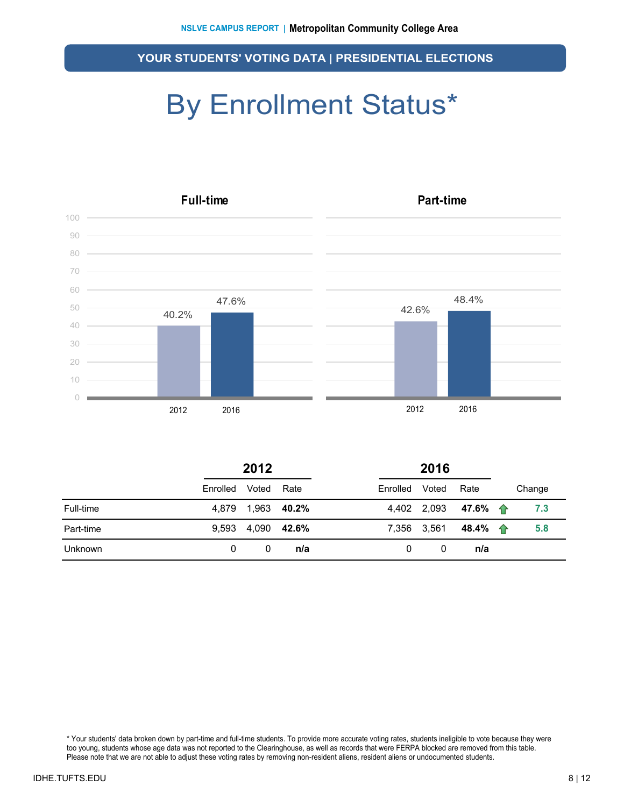### By Enrollment Status\*



|                | 2012     |             |       | 2016     |             |          |  |        |
|----------------|----------|-------------|-------|----------|-------------|----------|--|--------|
|                | Enrolled | Voted       | Rate  | Enrolled | Voted       | Rate     |  | Change |
| Full-time      | 4.879    | 1,963 40.2% |       |          | 4,402 2,093 | 47.6% 一个 |  | 7.3    |
| Part-time      | 9.593    | 4,090       | 42.6% |          | 7,356 3,561 | 48.4% 全  |  | 5.8    |
| <b>Unknown</b> | 0        | 0           | n/a   | 0        | 0           | n/a      |  |        |

\* Your students' data broken down by part-time and full-time students. To provide more accurate voting rates, students ineligible to vote because they were too young, students whose age data was not reported to the Clearinghouse, as well as records that were FERPA blocked are removed from this table. Please note that we are not able to adjust these voting rates by removing non-resident aliens, resident aliens or undocumented students.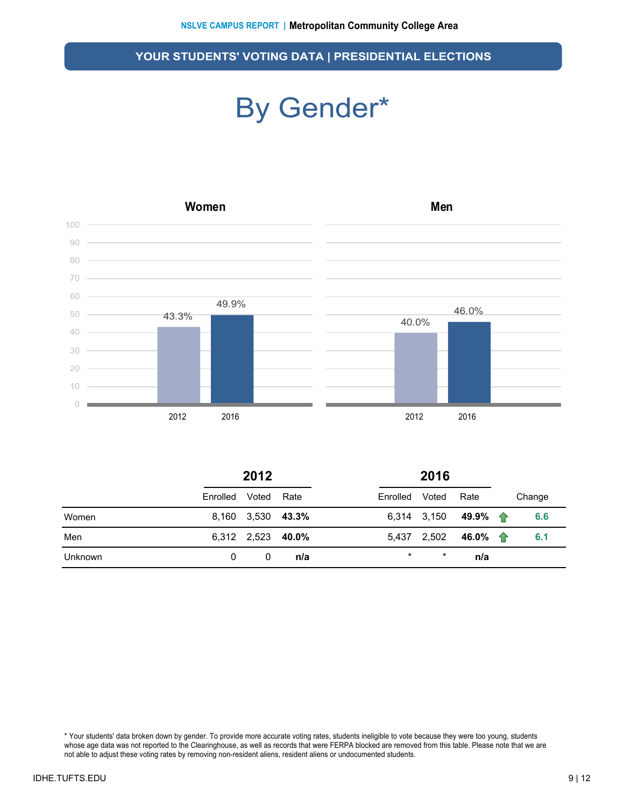### By Gender\*



|         | 2012     |                   |      |          |             |          |        |
|---------|----------|-------------------|------|----------|-------------|----------|--------|
|         | Enrolled | Voted             | Rate | Enrolled | Voted       | Rate     | Change |
| Women   |          | 8,160 3,530 43.3% |      |          | 6,314 3,150 | 49.9% 个  | 6.6    |
| Men     |          | 6,312 2,523 40.0% |      |          | 5,437 2,502 | 46.0% 一个 | 6.1    |
| Unknown | 0        | 0                 | n/a  | $\star$  | $\ast$      | n/a      |        |

\* Your students' data broken down by gender. To provide more accurate voting rates, students ineligible to vote because they were too young, students whose age data was not reported to the Clearinghouse, as well as records that were FERPA blocked are removed from this table. Please note that we are not able to adjust these voting rates by removing non-resident aliens, resident aliens or undocumented students.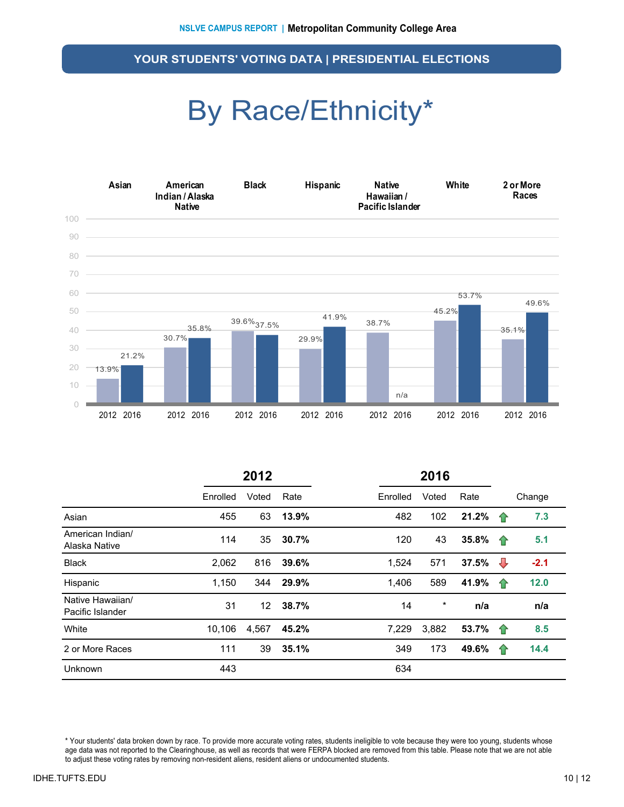### By Race/Ethnicity\*



|                                      | 2012     |       |       | 2016     |          |       |    |        |
|--------------------------------------|----------|-------|-------|----------|----------|-------|----|--------|
|                                      | Enrolled | Voted | Rate  | Enrolled | Voted    | Rate  |    | Change |
| Asian                                | 455      | 63    | 13.9% | 482      | 102      | 21.2% | 企  | 7.3    |
| American Indian/<br>Alaska Native    | 114      | 35    | 30.7% | 120      | 43       | 35.8% | 10 | 5.1    |
| <b>Black</b>                         | 2,062    | 816   | 39.6% | 1,524    | 571      | 37.5% | ⊕  | $-2.1$ |
| Hispanic                             | 1,150    | 344   | 29.9% | 1,406    | 589      | 41.9% | 11 | 12.0   |
| Native Hawaiian/<br>Pacific Islander | 31       | 12    | 38.7% | 14       | $^\star$ | n/a   |    | n/a    |
| White                                | 10,106   | 4,567 | 45.2% | 7,229    | 3,882    | 53.7% | 企  | 8.5    |
| 2 or More Races                      | 111      | 39    | 35.1% | 349      | 173      | 49.6% | 11 | 14.4   |
| Unknown                              | 443      |       |       | 634      |          |       |    |        |

\* Your students' data broken down by race. To provide more accurate voting rates, students ineligible to vote because they were too young, students whose age data was not reported to the Clearinghouse, as well as records that were FERPA blocked are removed from this table. Please note that we are not able to adjust these voting rates by removing non-resident aliens, resident aliens or undocumented students.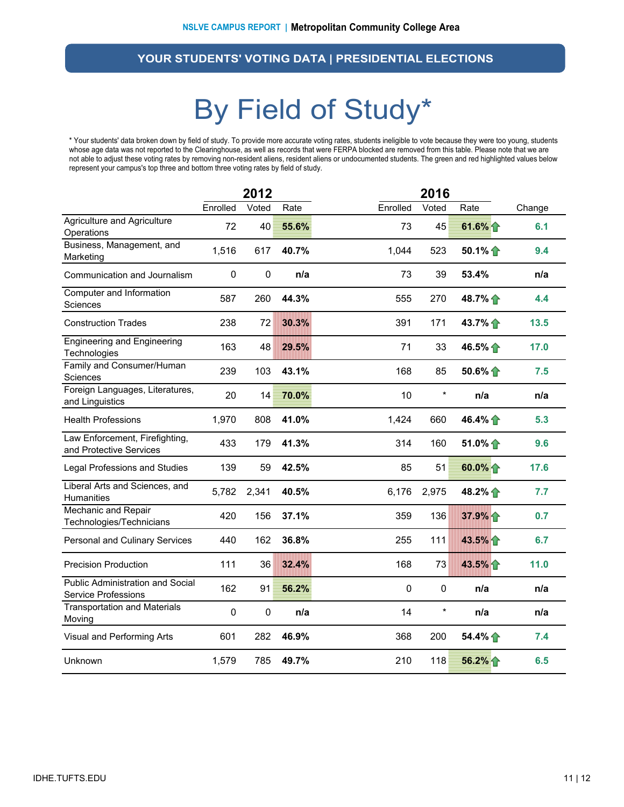### By Field of Study\*

\* Your students' data broken down by field of study. To provide more accurate voting rates, students ineligible to vote because they were too young, students whose age data was not reported to the Clearinghouse, as well as records that were FERPA blocked are removed from this table. Please note that we are not able to adjust these voting rates by removing non-resident aliens, resident aliens or undocumented students. The green and red highlighted values below represent your campus's top three and bottom three voting rates by field of study.

|                                                           |             | 2012      |       |          | 2016      |                  |        |
|-----------------------------------------------------------|-------------|-----------|-------|----------|-----------|------------------|--------|
|                                                           | Enrolled    | Voted     | Rate  | Enrolled | Voted     | Rate             | Change |
| Agriculture and Agriculture<br>Operations                 | 72          | 40        | 55.6% | 73       | 45        | 61.6% $\uparrow$ | 6.1    |
| Business, Management, and<br>Marketing                    | 1,516       | 617       | 40.7% | 1,044    | 523       | 50.1% 个          | 9.4    |
| Communication and Journalism                              | $\mathbf 0$ | $\pmb{0}$ | n/a   | 73       | 39        | 53.4%            | n/a    |
| Computer and Information<br>Sciences                      | 587         | 260       | 44.3% | 555      | 270       | 48.7% 个          | 4.4    |
| <b>Construction Trades</b>                                | 238         | 72        | 30.3% | 391      | 171       | 43.7%            | 13.5   |
| <b>Engineering and Engineering</b><br>Technologies        | 163         | 48        | 29.5% | 71       | 33        | 46.5%            | 17.0   |
| Family and Consumer/Human<br><b>Sciences</b>              | 239         | 103       | 43.1% | 168      | 85        | $50.6\%$         | 7.5    |
| Foreign Languages, Literatures,<br>and Linguistics        | 20          | 14        | 70.0% | 10       | $\ast$    | n/a              | n/a    |
| <b>Health Professions</b>                                 | 1,970       | 808       | 41.0% | 1,424    | 660       | 46.4%            | 5.3    |
| Law Enforcement, Firefighting,<br>and Protective Services | 433         | 179       | 41.3% | 314      | 160       | 51.0% $\bigcap$  | 9.6    |
| <b>Legal Professions and Studies</b>                      | 139         | 59        | 42.5% | 85       | 51        | 60.0% 1          | 17.6   |
| Liberal Arts and Sciences, and<br>Humanities              | 5,782       | 2,341     | 40.5% | 6,176    | 2,975     | 48.2% 个          | 7.7    |
| Mechanic and Repair<br>Technologies/Technicians           | 420         | 156       | 37.1% | 359      | 136       | 37.9% 个          | 0.7    |
| Personal and Culinary Services                            | 440         | 162       | 36.8% | 255      | 111       | 43.5%            | 6.7    |
| <b>Precision Production</b>                               | 111         | 36        | 32.4% | 168      | 73        | 43.5%            | 11.0   |
| Public Administration and Social<br>Service Professions   | 162         | 91        | 56.2% | 0        | $\pmb{0}$ | n/a              | n/a    |
| <b>Transportation and Materials</b><br>Moving             | $\pmb{0}$   | $\pmb{0}$ | n/a   | 14       | $\star$   | n/a              | n/a    |
| Visual and Performing Arts                                | 601         | 282       | 46.9% | 368      | 200       | 54.4%            | 7.4    |
| Unknown                                                   | 1,579       | 785       | 49.7% | 210      | 118       | 56.2% 个          | 6.5    |